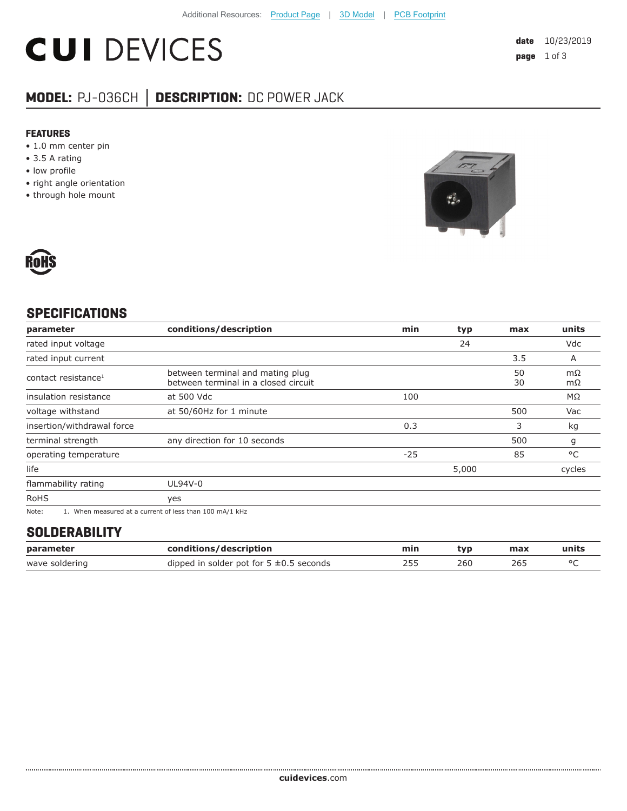# **CUI DEVICES**

### **MODEL:** PJ-036CH **│ DESCRIPTION:** DC POWER JACK

#### **FEATURES**

- 1.0 mm center pin
- 3.5 A rating
- low profile
- right angle orientation
- through hole mount





#### **SPECIFICATIONS**

| parameter                       | conditions/description                                                                                    | min   | typ   | max      | units    |
|---------------------------------|-----------------------------------------------------------------------------------------------------------|-------|-------|----------|----------|
| rated input voltage             |                                                                                                           |       | 24    |          | Vdc      |
| rated input current             |                                                                                                           |       |       | 3.5      | A        |
| contact resistance <sup>1</sup> | between terminal and mating plug<br>between terminal in a closed circuit                                  |       |       | 50<br>30 | mΩ<br>mΩ |
| insulation resistance           | at 500 Vdc                                                                                                | 100   |       |          | ΜΩ       |
| voltage withstand               | at 50/60Hz for 1 minute                                                                                   |       |       | 500      | Vac      |
| insertion/withdrawal force      |                                                                                                           | 0.3   |       | 3        | kg       |
| terminal strength               | any direction for 10 seconds                                                                              |       |       | 500      | g        |
| operating temperature           |                                                                                                           | $-25$ |       | 85       | °C       |
| life                            |                                                                                                           |       | 5,000 |          | cycles   |
| flammability rating             | UL94V-0                                                                                                   |       |       |          |          |
| <b>RoHS</b>                     | yes                                                                                                       |       |       |          |          |
| $N = 1$                         | $\overline{1}$ . Mile a consequent of a consequent of logical theory $\overline{100}$ as $\overline{111}$ |       |       |          |          |

Note: 1. When measured at a current of less than 100 mA/1 kHz

#### **SOLDERABILITY**

| parameter      | conditions/description                       | min | tvp | max | units |
|----------------|----------------------------------------------|-----|-----|-----|-------|
| wave soldering | dipped in solder pot for $5 \pm 0.5$ seconds |     | 260 | 265 |       |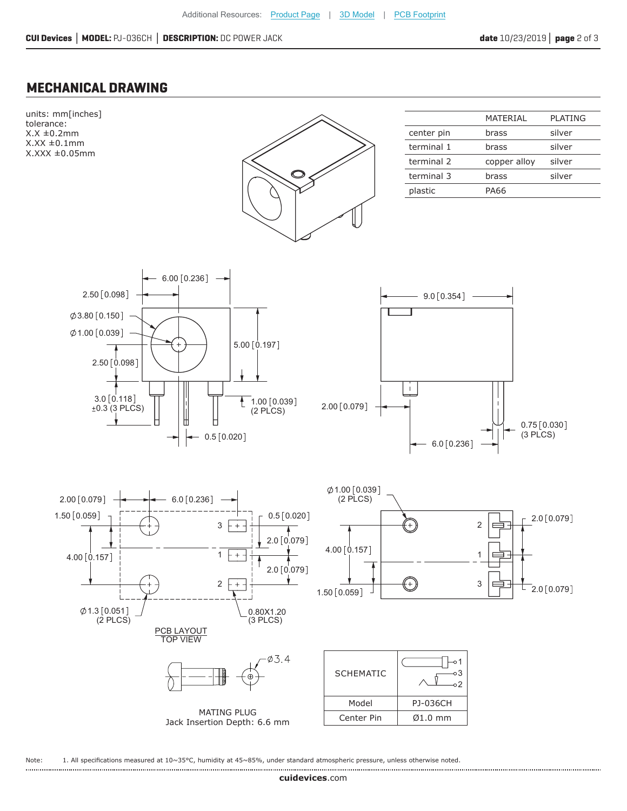#### **MECHANICAL DRAWING**



Note: 1. All specifications measured at 10~35°C, humidity at 45~85%, under standard atmospheric pressure, unless otherwise noted.